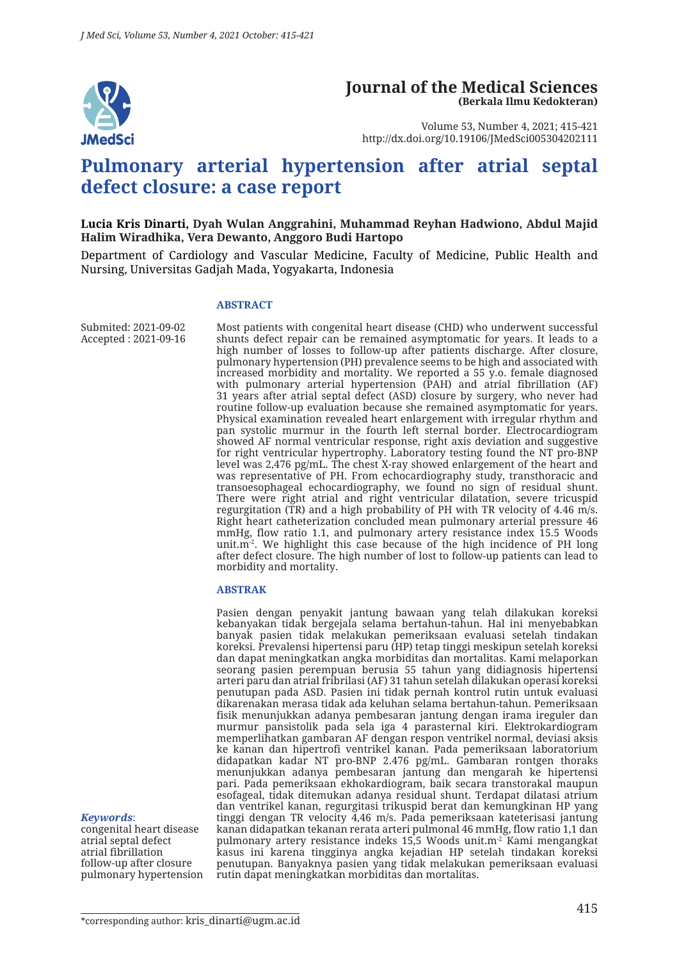

#### **Journal of the Medical Sciences (Berkala Ilmu Kedokteran)**

Volume 53, Number 4, 2021; 415-421 http://dx.doi.org/10.19106/JMedSci005304202111

# **Pulmonary arterial hypertension after atrial septal defect closure: a case report**

#### **Lucia Kris Dinarti, Dyah Wulan Anggrahini, Muhammad Reyhan Hadwiono, Abdul Majid Halim Wiradhika, Vera Dewanto, Anggoro Budi Hartopo**

Department of Cardiology and Vascular Medicine, Faculty of Medicine, Public Health and Nursing, Universitas Gadjah Mada, Yogyakarta, Indonesia

#### **ABSTRACT**

Submited: 2021-09-02 Accepted : 2021-09-16

Most patients with congenital heart disease (CHD) who underwent successful shunts defect repair can be remained asymptomatic for years. It leads to a high number of losses to follow-up after patients discharge. After closure, pulmonary hypertension (PH) prevalence seems to be high and associated with increased morbidity and mortality. We reported a 55 y.o. female diagnosed with pulmonary arterial hypertension (PAH) and atrial fibrillation (AF) 31 years after atrial septal defect (ASD) closure by surgery, who never had routine follow-up evaluation because she remained asymptomatic for years. Physical examination revealed heart enlargement with irregular rhythm and pan systolic murmur in the fourth left sternal border. Electrocardiogram showed AF normal ventricular response, right axis deviation and suggestive for right ventricular hypertrophy. Laboratory testing found the NT pro-BNP level was 2,476 pg/mL. The chest X-ray showed enlargement of the heart and was representative of PH. From echocardiography study, transthoracic and transoesophageal echocardiography, we found no sign of residual shunt. There were right atrial and right ventricular dilatation, severe tricuspid regurgitation (TR) and a high probability of PH with TR velocity of 4.46 m/s. Right heart catheterization concluded mean pulmonary arterial pressure 46 mmHg, flow ratio 1.1, and pulmonary artery resistance index 15.5 Woods unit.m<sup>-2</sup>. We highlight this case because of the high incidence of PH long after defect closure. The high number of lost to follow-up patients can lead to morbidity and mortality.

#### **ABSTRAK**

Pasien dengan penyakit jantung bawaan yang telah dilakukan koreksi kebanyakan tidak bergejala selama bertahun-tahun. Hal ini menyebabkan banyak pasien tidak melakukan pemeriksaan evaluasi setelah tindakan koreksi. Prevalensi hipertensi paru (HP) tetap tinggi meskipun setelah koreksi dan dapat meningkatkan angka morbiditas dan mortalitas. Kami melaporkan seorang pasien perempuan berusia 55 tahun yang didiagnosis hipertensi arteri paru dan atrial fribrilasi (AF) 31 tahun setelah dilakukan operasi koreksi penutupan pada ASD. Pasien ini tidak pernah kontrol rutin untuk evaluasi dikarenakan merasa tidak ada keluhan selama bertahun-tahun. Pemeriksaan fisik menunjukkan adanya pembesaran jantung dengan irama ireguler dan murmur pansistolik pada sela iga 4 parasternal kiri. Elektrokardiogram memperlihatkan gambaran AF dengan respon ventrikel normal, deviasi aksis ke kanan dan hipertrofi ventrikel kanan. Pada pemeriksaan laboratorium didapatkan kadar NT pro-BNP 2.476 pg/mL. Gambaran rontgen thoraks menunjukkan adanya pembesaran jantung dan mengarah ke hipertensi pari. Pada pemeriksaan ekhokardiogram, baik secara transtorakal maupun esofageal, tidak ditemukan adanya residual shunt. Terdapat dilatasi atrium dan ventrikel kanan, regurgitasi trikuspid berat dan kemungkinan HP yang tinggi dengan TR velocity 4,46 m/s. Pada pemeriksaan kateterisasi jantung kanan didapatkan tekanan rerata arteri pulmonal 46 mmHg, flow ratio 1,1 dan pulmonary artery resistance indeks 15,5 Woods unit. $m<sup>2</sup>$  Kami mengangkat kasus ini karena tingginya angka kejadian HP setelah tindakan koreksi penutupan. Banyaknya pasien yang tidak melakukan pemeriksaan evaluasi rutin dapat meningkatkan morbiditas dan mortalitas.

#### *Keywords*:

congenital heart disease atrial septal defect atrial fibrillation follow-up after closure pulmonary hypertension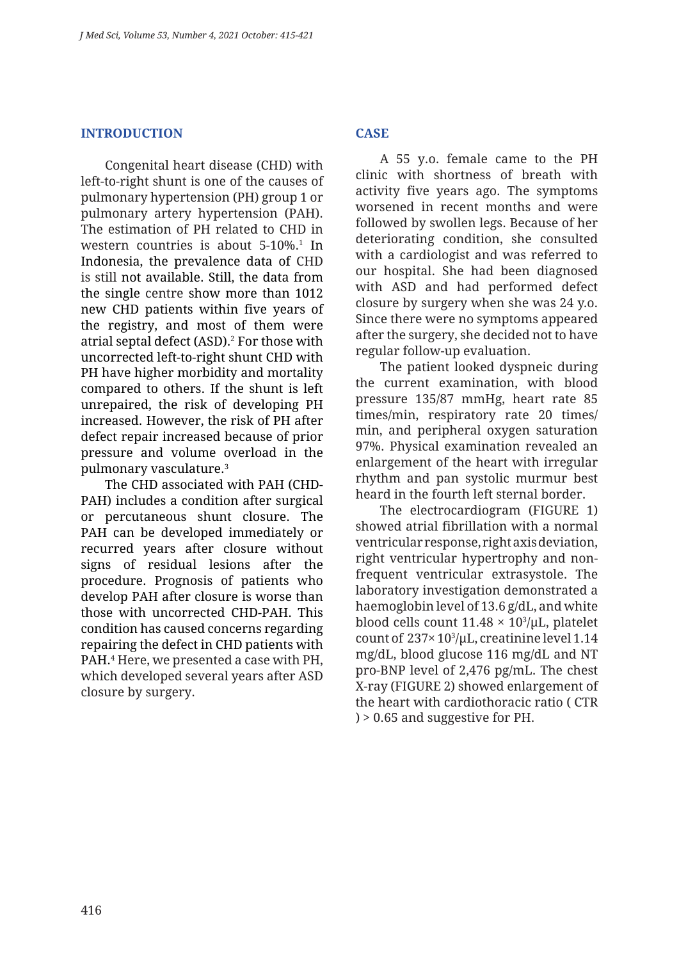#### **INTRODUCTION**

Congenital heart disease (CHD) with left-to-right shunt is one of the causes of pulmonary hypertension (PH) group 1 or pulmonary artery hypertension (PAH). The estimation of PH related to CHD in western countries is about  $5-10\%$ <sup>1</sup> In Indonesia, the prevalence data of CHD is still not available. Still, the data from the single centre show more than 1012 new CHD patients within five years of the registry, and most of them were atrial septal defect (ASD).2 For those with uncorrected left-to-right shunt CHD with PH have higher morbidity and mortality compared to others. If the shunt is left unrepaired, the risk of developing PH increased. However, the risk of PH after defect repair increased because of prior pressure and volume overload in the pulmonary vasculature.3

The CHD associated with PAH (CHD-PAH) includes a condition after surgical or percutaneous shunt closure. The PAH can be developed immediately or recurred years after closure without signs of residual lesions after the procedure. Prognosis of patients who develop PAH after closure is worse than those with uncorrected CHD-PAH. This condition has caused concerns regarding repairing the defect in CHD patients with PAH.4 Here, we presented a case with PH, which developed several years after ASD closure by surgery.

## **CASE**

A 55 y.o. female came to the PH clinic with shortness of breath with activity five years ago. The symptoms worsened in recent months and were followed by swollen legs. Because of her deteriorating condition, she consulted with a cardiologist and was referred to our hospital. She had been diagnosed with ASD and had performed defect closure by surgery when she was 24 y.o. Since there were no symptoms appeared after the surgery, she decided not to have regular follow-up evaluation.

The patient looked dyspneic during the current examination, with blood pressure 135/87 mmHg, heart rate 85 times/min, respiratory rate 20 times/ min, and peripheral oxygen saturation 97%. Physical examination revealed an enlargement of the heart with irregular rhythm and pan systolic murmur best heard in the fourth left sternal border.

The electrocardiogram (FIGURE 1) showed atrial fibrillation with a normal ventricular response, right axis deviation, right ventricular hypertrophy and nonfrequent ventricular extrasystole. The laboratory investigation demonstrated a haemoglobin level of 13.6 g/dL, and white blood cells count  $11.48 \times 10^3/\mu$ L, platelet count of  $237 \times 10^3/\mu L$ , creatinine level 1.14 mg/dL, blood glucose 116 mg/dL and NT pro-BNP level of 2,476 pg/mL. The chest X-ray (FIGURE 2) showed enlargement of the heart with cardiothoracic ratio ( CTR ) > 0.65 and suggestive for PH.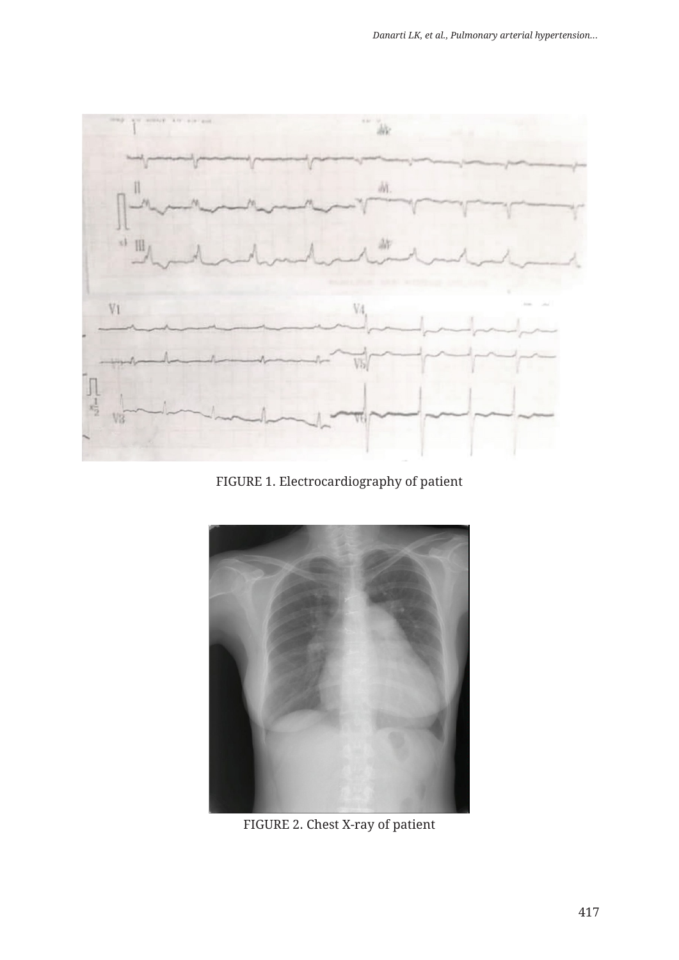

FIGURE 1. Electrocardiography of patient



FIGURE 2. Chest X-ray of patient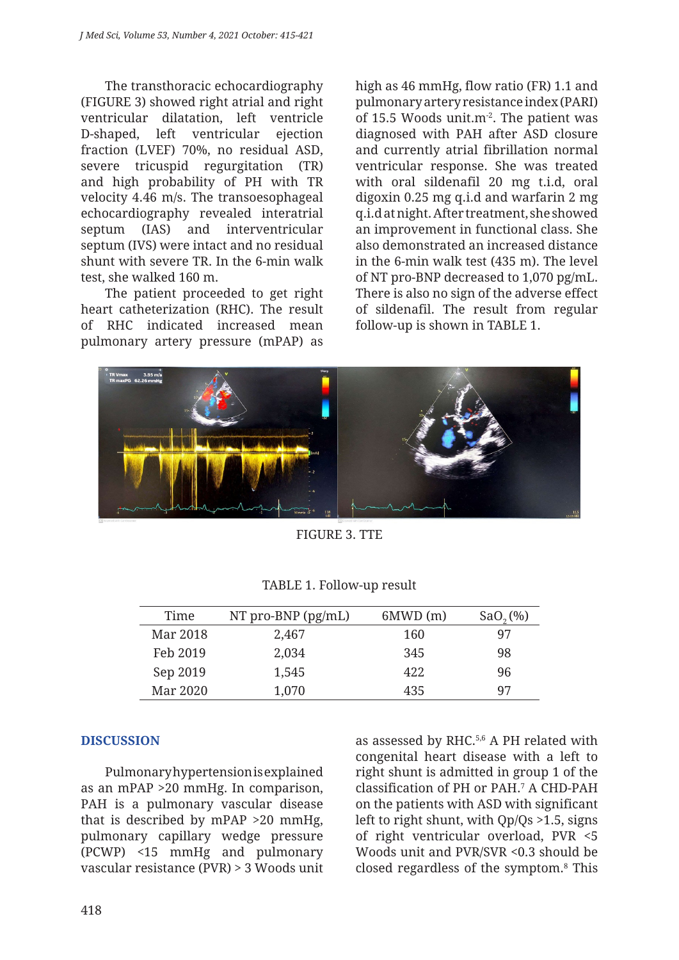The transthoracic echocardiography (FIGURE 3) showed right atrial and right ventricular dilatation, left ventricle D-shaped, left ventricular ejection fraction (LVEF) 70%, no residual ASD, severe tricuspid regurgitation (TR) and high probability of PH with TR velocity 4.46 m/s. The transoesophageal echocardiography revealed interatrial septum (IAS) and interventricular septum (IVS) were intact and no residual shunt with severe TR. In the 6-min walk test, she walked 160 m.

The patient proceeded to get right heart catheterization (RHC). The result of RHC indicated increased mean pulmonary artery pressure (mPAP) as high as 46 mmHg, flow ratio (FR) 1.1 and pulmonary artery resistance index (PARI) of 15.5 Woods unit.m<sup>-2</sup>. The patient was diagnosed with PAH after ASD closure and currently atrial fibrillation normal ventricular response. She was treated with oral sildenafil 20 mg t.i.d, oral digoxin 0.25 mg q.i.d and warfarin 2 mg q.i.d at night. After treatment, she showed an improvement in functional class. She also demonstrated an increased distance in the 6-min walk test (435 m). The level of NT pro-BNP decreased to 1,070 pg/mL. There is also no sign of the adverse effect of sildenafil. The result from regular follow-up is shown in TABLE 1.



FIGURE 3. TTE

| Time     | NT pro-BNP $(pg/mL)$ | 6MWD(m) | $SaO,$ (%) |
|----------|----------------------|---------|------------|
| Mar 2018 | 2,467                | 160     | 97         |
| Feb 2019 | 2,034                | 345     | 98         |
| Sep 2019 | 1,545                | 42.2    | 96         |
| Mar 2020 | 1,070                | 435     | 97         |

TABLE 1. Follow-up result

### **DISCUSSION**

Pulmonary hypertension is explained as an mPAP >20 mmHg. In comparison, PAH is a pulmonary vascular disease that is described by mPAP >20 mmHg, pulmonary capillary wedge pressure (PCWP) <15 mmHg and pulmonary vascular resistance (PVR) > 3 Woods unit as assessed by RHC.5,6 A PH related with congenital heart disease with a left to right shunt is admitted in group 1 of the classification of PH or PAH.7 A CHD-PAH on the patients with ASD with significant left to right shunt, with Qp/Qs >1.5, signs of right ventricular overload, PVR <5 Woods unit and PVR/SVR <0.3 should be closed regardless of the symptom.8 This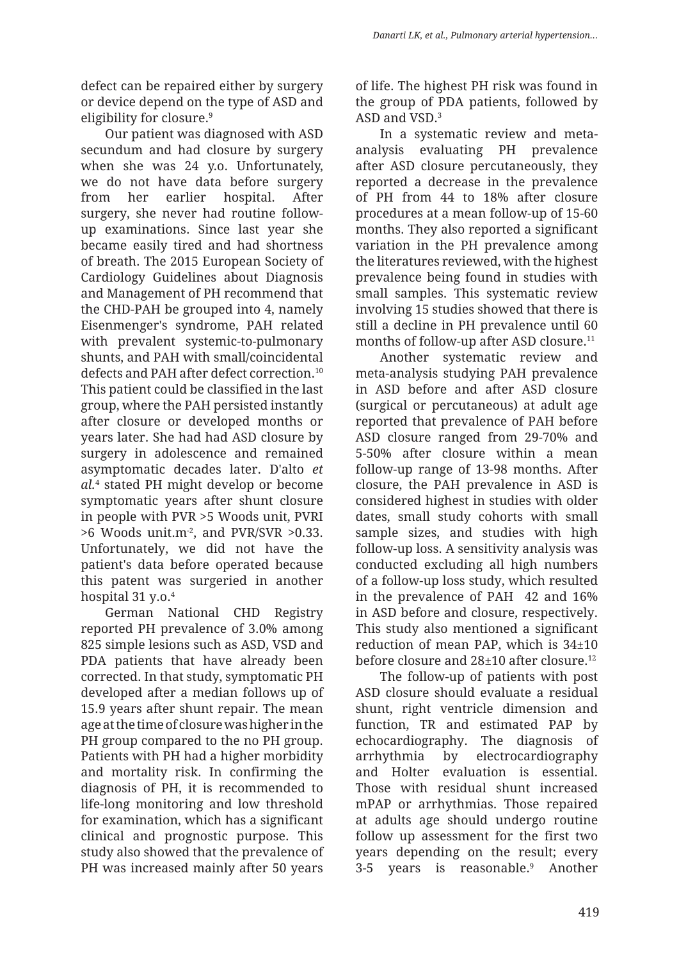defect can be repaired either by surgery or device depend on the type of ASD and eligibility for closure.<sup>9</sup>

Our patient was diagnosed with ASD secundum and had closure by surgery when she was 24 y.o. Unfortunately, we do not have data before surgery from her earlier hospital. After surgery, she never had routine followup examinations. Since last year she became easily tired and had shortness of breath. The 2015 European Society of Cardiology Guidelines about Diagnosis and Management of PH recommend that the CHD-PAH be grouped into 4, namely Eisenmenger's syndrome, PAH related with prevalent systemic-to-pulmonary shunts, and PAH with small/coincidental defects and PAH after defect correction.10 This patient could be classified in the last group, where the PAH persisted instantly after closure or developed months or years later. She had had ASD closure by surgery in adolescence and remained asymptomatic decades later. D'alto *et al.* 4 stated PH might develop or become symptomatic years after shunt closure in people with PVR >5 Woods unit, PVRI  $>6$  Woods unit.m<sup>-2</sup>, and PVR/SVR  $>0.33$ . Unfortunately, we did not have the patient's data before operated because this patent was surgeried in another hospital 31 y.o. 4

German National CHD Registry reported PH prevalence of 3.0% among 825 simple lesions such as ASD, VSD and PDA patients that have already been corrected. In that study, symptomatic PH developed after a median follows up of 15.9 years after shunt repair. The mean age at the time of closure was higher in the PH group compared to the no PH group. Patients with PH had a higher morbidity and mortality risk. In confirming the diagnosis of PH, it is recommended to life-long monitoring and low threshold for examination, which has a significant clinical and prognostic purpose. This study also showed that the prevalence of PH was increased mainly after 50 years

of life. The highest PH risk was found in the group of PDA patients, followed by ASD and VSD.3

In a systematic review and metaanalysis evaluating PH prevalence after ASD closure percutaneously, they reported a decrease in the prevalence of PH from 44 to 18% after closure procedures at a mean follow-up of 15-60 months. They also reported a significant variation in the PH prevalence among the literatures reviewed, with the highest prevalence being found in studies with small samples. This systematic review involving 15 studies showed that there is still a decline in PH prevalence until 60 months of follow-up after ASD closure.<sup>11</sup>

Another systematic review and meta-analysis studying PAH prevalence in ASD before and after ASD closure (surgical or percutaneous) at adult age reported that prevalence of PAH before ASD closure ranged from 29-70% and 5-50% after closure within a mean follow-up range of 13-98 months. After closure, the PAH prevalence in ASD is considered highest in studies with older dates, small study cohorts with small sample sizes, and studies with high follow-up loss. A sensitivity analysis was conducted excluding all high numbers of a follow-up loss study, which resulted in the prevalence of PAH 42 and 16% in ASD before and closure, respectively. This study also mentioned a significant reduction of mean PAP, which is 34±10 before closure and 28±10 after closure.12

The follow-up of patients with post ASD closure should evaluate a residual shunt, right ventricle dimension and function, TR and estimated PAP by echocardiography. The diagnosis of arrhythmia by electrocardiography and Holter evaluation is essential. Those with residual shunt increased mPAP or arrhythmias. Those repaired at adults age should undergo routine follow up assessment for the first two years depending on the result; every 3-5 years is reasonable.9 Another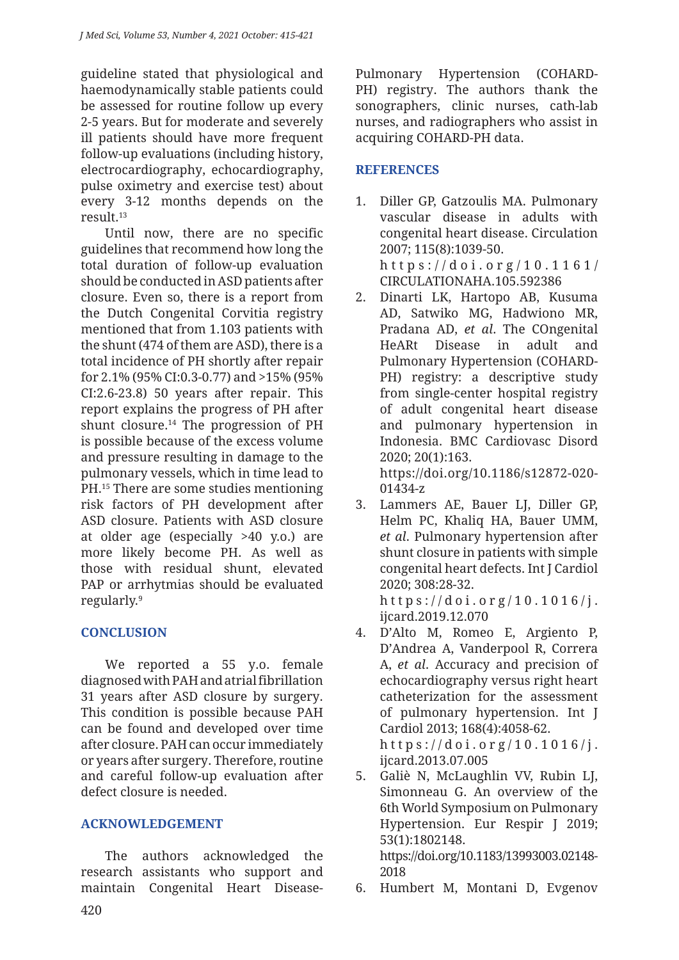guideline stated that physiological and haemodynamically stable patients could be assessed for routine follow up every 2-5 years. But for moderate and severely ill patients should have more frequent follow-up evaluations (including history, electrocardiography, echocardiography, pulse oximetry and exercise test) about every 3-12 months depends on the result.13

Until now, there are no specific guidelines that recommend how long the total duration of follow-up evaluation should be conducted in ASD patients after closure. Even so, there is a report from the Dutch Congenital Corvitia registry mentioned that from 1.103 patients with the shunt (474 of them are ASD), there is a total incidence of PH shortly after repair for 2.1% (95% CI:0.3-0.77) and >15% (95% CI:2.6-23.8) 50 years after repair. This report explains the progress of PH after shunt closure.14 The progression of PH is possible because of the excess volume and pressure resulting in damage to the pulmonary vessels, which in time lead to PH.15 There are some studies mentioning risk factors of PH development after ASD closure. Patients with ASD closure at older age (especially >40 y.o.) are more likely become PH. As well as those with residual shunt, elevated PAP or arrhytmias should be evaluated regularly.9

# **CONCLUSION**

We reported a 55 y.o. female diagnosed with PAH and atrial fibrillation 31 years after ASD closure by surgery. This condition is possible because PAH can be found and developed over time after closure. PAH can occur immediately or years after surgery. Therefore, routine and careful follow-up evaluation after defect closure is needed.

### **ACKNOWLEDGEMENT**

The authors acknowledged the research assistants who support and maintain Congenital Heart DiseasePulmonary Hypertension (COHARD-PH) registry. The authors thank the sonographers, clinic nurses, cath-lab nurses, and radiographers who assist in acquiring COHARD-PH data.

### **REFERENCES**

- 1. Diller GP, Gatzoulis MA. Pulmonary vascular disease in adults with congenital heart disease. Circulation 2007; 115(8):1039-50. https://doi.org/10.1161/ CIRCULATIONAHA.105.592386
- 2. Dinarti LK, Hartopo AB, Kusuma AD, Satwiko MG, Hadwiono MR, Pradana AD, *et al*. The COngenital HeARt Disease in adult and Pulmonary Hypertension (COHARD-PH) registry: a descriptive study from single-center hospital registry of adult congenital heart disease and pulmonary hypertension in Indonesia. BMC Cardiovasc Disord 2020; 20(1):163. https://doi.org/10.1186/s12872-020-

01434-z

3. Lammers AE, Bauer LJ, Diller GP, Helm PC, Khaliq HA, Bauer UMM, *et al*. Pulmonary hypertension after shunt closure in patients with simple congenital heart defects. Int J Cardiol 2020; 308:28-32. https://doi.org/10.1016/j.

ijcard.2019.12.070

- 4. D'Alto M, Romeo E, Argiento P, D'Andrea A, Vanderpool R, Correra A, *et al*. Accuracy and precision of echocardiography versus right heart catheterization for the assessment of pulmonary hypertension. Int J Cardiol 2013; 168(4):4058-62. https://doi.org/10.1016/j. ijcard.2013.07.005
- 5. Galiè N, McLaughlin VV, Rubin LJ, Simonneau G. An overview of the 6th World Symposium on Pulmonary Hypertension. Eur Respir J 2019; 53(1):1802148. https://doi.org/10.1183/13993003.02148-

2018

6. Humbert M, Montani D, Evgenov